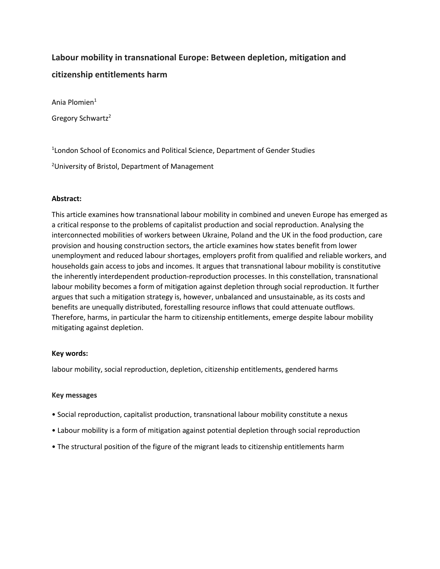# **Labour mobility in transnational Europe: Between depletion, mitigation and citizenship entitlements harm**

Ania Plomien<sup>1</sup>

Gregory Schwartz<sup>2</sup>

<sup>1</sup> London School of Economics and Political Science, Department of Gender Studies

<sup>2</sup>University of Bristol, Department of Management

# **Abstract:**

This article examines how transnational labour mobility in combined and uneven Europe has emerged as a critical response to the problems of capitalist production and social reproduction. Analysing the interconnected mobilities of workers between Ukraine, Poland and the UK in the food production, care provision and housing construction sectors, the article examines how states benefit from lower unemployment and reduced labour shortages, employers profit from qualified and reliable workers, and households gain access to jobs and incomes. It argues that transnational labour mobility is constitutive the inherently interdependent production-reproduction processes. In this constellation, transnational labour mobility becomes a form of mitigation against depletion through social reproduction. It further argues that such a mitigation strategy is, however, unbalanced and unsustainable, as its costs and benefits are unequally distributed, forestalling resource inflows that could attenuate outflows. Therefore, harms, in particular the harm to citizenship entitlements, emerge despite labour mobility mitigating against depletion.

# **Key words:**

labour mobility, social reproduction, depletion, citizenship entitlements, gendered harms

# **Key messages**

- Social reproduction, capitalist production, transnational labour mobility constitute a nexus
- Labour mobility is a form of mitigation against potential depletion through social reproduction
- The structural position of the figure of the migrant leads to citizenship entitlements harm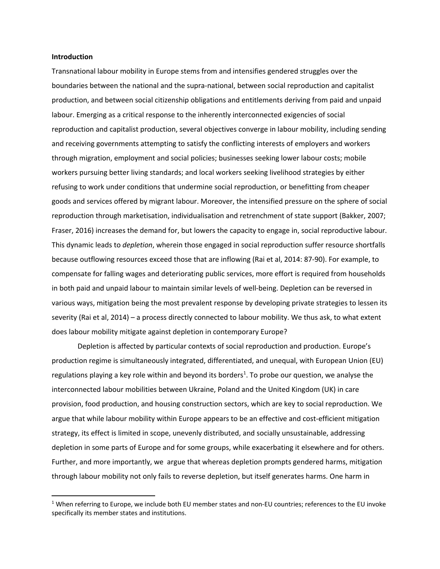#### **Introduction**

Transnational labour mobility in Europe stems from and intensifies gendered struggles over the boundaries between the national and the supra-national, between social reproduction and capitalist production, and between social citizenship obligations and entitlements deriving from paid and unpaid labour. Emerging as a critical response to the inherently interconnected exigencies of social reproduction and capitalist production, several objectives converge in labour mobility, including sending and receiving governments attempting to satisfy the conflicting interests of employers and workers through migration, employment and social policies; businesses seeking lower labour costs; mobile workers pursuing better living standards; and local workers seeking livelihood strategies by either refusing to work under conditions that undermine social reproduction, or benefitting from cheaper goods and services offered by migrant labour. Moreover, the intensified pressure on the sphere of social reproduction through marketisation, individualisation and retrenchment of state support (Bakker, 2007; Fraser, 2016) increases the demand for, but lowers the capacity to engage in, social reproductive labour. This dynamic leads to *depletion*, wherein those engaged in social reproduction suffer resource shortfalls because outflowing resources exceed those that are inflowing (Rai et al, 2014: 87-90). For example, to compensate for falling wages and deteriorating public services, more effort is required from households in both paid and unpaid labour to maintain similar levels of well-being. Depletion can be reversed in various ways, mitigation being the most prevalent response by developing private strategies to lessen its severity (Rai et al, 2014) – a process directly connected to labour mobility. We thus ask, to what extent does labour mobility mitigate against depletion in contemporary Europe?

Depletion is affected by particular contexts of social reproduction and production. Europe's production regime is simultaneously integrated, differentiated, and unequal, with European Union (EU) regulations playing a key role within and beyond its borders<sup>1</sup>. To probe our question, we analyse the interconnected labour mobilities between Ukraine, Poland and the United Kingdom (UK) in care provision, food production, and housing construction sectors, which are key to social reproduction. We argue that while labour mobility within Europe appears to be an effective and cost-efficient mitigation strategy, its effect is limited in scope, unevenly distributed, and socially unsustainable, addressing depletion in some parts of Europe and for some groups, while exacerbating it elsewhere and for others. Further, and more importantly, we argue that whereas depletion prompts gendered harms, mitigation through labour mobility not only fails to reverse depletion, but itself generates harms. One harm in

 $1$  When referring to Europe, we include both EU member states and non-EU countries; references to the EU invoke specifically its member states and institutions.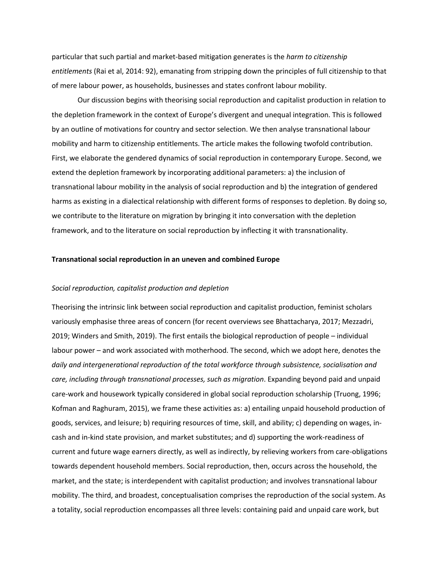particular that such partial and market-based mitigation generates is the *harm to citizenship entitlements* (Rai et al, 2014: 92), emanating from stripping down the principles of full citizenship to that of mere labour power, as households, businesses and states confront labour mobility.

Our discussion begins with theorising social reproduction and capitalist production in relation to the depletion framework in the context of Europe's divergent and unequal integration. This is followed by an outline of motivations for country and sector selection. We then analyse transnational labour mobility and harm to citizenship entitlements. The article makes the following twofold contribution. First, we elaborate the gendered dynamics of social reproduction in contemporary Europe. Second, we extend the depletion framework by incorporating additional parameters: a) the inclusion of transnational labour mobility in the analysis of social reproduction and b) the integration of gendered harms as existing in a dialectical relationship with different forms of responses to depletion. By doing so, we contribute to the literature on migration by bringing it into conversation with the depletion framework, and to the literature on social reproduction by inflecting it with transnationality.

#### **Transnational social reproduction in an uneven and combined Europe**

## *Social reproduction, capitalist production and depletion*

Theorising the intrinsic link between social reproduction and capitalist production, feminist scholars variously emphasise three areas of concern (for recent overviews see Bhattacharya, 2017; Mezzadri, 2019; Winders and Smith, 2019). The first entails the biological reproduction of people – individual labour power – and work associated with motherhood. The second, which we adopt here, denotes the *daily and intergenerational reproduction of the total workforce through subsistence, socialisation and care, including through transnational processes, such as migration*. Expanding beyond paid and unpaid care-work and housework typically considered in global social reproduction scholarship (Truong, 1996; Kofman and Raghuram, 2015), we frame these activities as: a) entailing unpaid household production of goods, services, and leisure; b) requiring resources of time, skill, and ability; c) depending on wages, incash and in-kind state provision, and market substitutes; and d) supporting the work-readiness of current and future wage earners directly, as well as indirectly, by relieving workers from care-obligations towards dependent household members. Social reproduction, then, occurs across the household, the market, and the state; is interdependent with capitalist production; and involves transnational labour mobility. The third, and broadest, conceptualisation comprises the reproduction of the social system. As a totality, social reproduction encompasses all three levels: containing paid and unpaid care work, but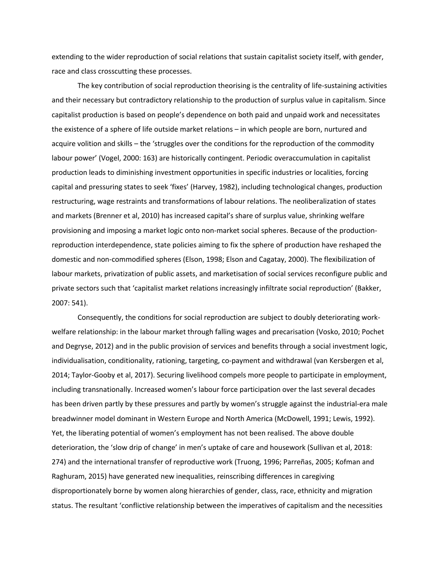extending to the wider reproduction of social relations that sustain capitalist society itself, with gender, race and class crosscutting these processes.

The key contribution of social reproduction theorising is the centrality of life-sustaining activities and their necessary but contradictory relationship to the production of surplus value in capitalism. Since capitalist production is based on people's dependence on both paid and unpaid work and necessitates the existence of a sphere of life outside market relations – in which people are born, nurtured and acquire volition and skills – the 'struggles over the conditions for the reproduction of the commodity labour power' (Vogel, 2000: 163) are historically contingent. Periodic overaccumulation in capitalist production leads to diminishing investment opportunities in specific industries or localities, forcing capital and pressuring states to seek 'fixes' (Harvey, 1982), including technological changes, production restructuring, wage restraints and transformations of labour relations. The neoliberalization of states and markets (Brenner et al, 2010) has increased capital's share of surplus value, shrinking welfare provisioning and imposing a market logic onto non-market social spheres. Because of the productionreproduction interdependence, state policies aiming to fix the sphere of production have reshaped the domestic and non-commodified spheres (Elson, 1998; Elson and Cagatay, 2000). The flexibilization of labour markets, privatization of public assets, and marketisation of social services reconfigure public and private sectors such that 'capitalist market relations increasingly infiltrate social reproduction' (Bakker, 2007: 541).

Consequently, the conditions for social reproduction are subject to doubly deteriorating workwelfare relationship: in the labour market through falling wages and precarisation (Vosko, 2010; Pochet and Degryse, 2012) and in the public provision of services and benefits through a social investment logic, individualisation, conditionality, rationing, targeting, co-payment and withdrawal (van Kersbergen et al, 2014; Taylor-Gooby et al, 2017). Securing livelihood compels more people to participate in employment, including transnationally. Increased women's labour force participation over the last several decades has been driven partly by these pressures and partly by women's struggle against the industrial-era male breadwinner model dominant in Western Europe and North America (McDowell, 1991; Lewis, 1992). Yet, the liberating potential of women's employment has not been realised. The above double deterioration, the 'slow drip of change' in men's uptake of care and housework (Sullivan et al, 2018: 274) and the international transfer of reproductive work (Truong, 1996; Parreñas, 2005; Kofman and Raghuram, 2015) have generated new inequalities, reinscribing differences in caregiving disproportionately borne by women along hierarchies of gender, class, race, ethnicity and migration status. The resultant 'conflictive relationship between the imperatives of capitalism and the necessities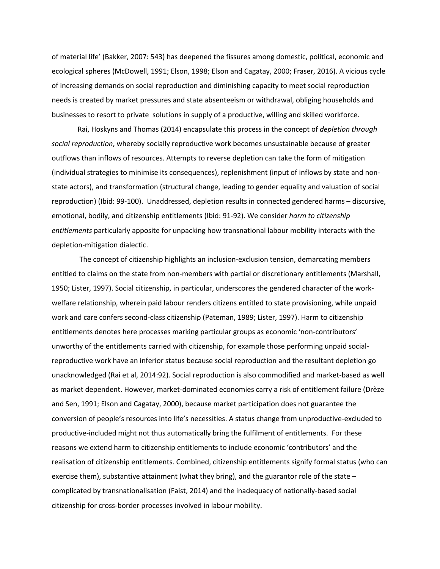of material life' (Bakker, 2007: 543) has deepened the fissures among domestic, political, economic and ecological spheres (McDowell, 1991; Elson, 1998; Elson and Cagatay, 2000; Fraser, 2016). A vicious cycle of increasing demands on social reproduction and diminishing capacity to meet social reproduction needs is created by market pressures and state absenteeism or withdrawal, obliging households and businesses to resort to private solutions in supply of a productive, willing and skilled workforce.

Rai, Hoskyns and Thomas (2014) encapsulate this process in the concept of *depletion through social reproduction*, whereby socially reproductive work becomes unsustainable because of greater outflows than inflows of resources. Attempts to reverse depletion can take the form of mitigation (individual strategies to minimise its consequences), replenishment (input of inflows by state and nonstate actors), and transformation (structural change, leading to gender equality and valuation of social reproduction) (Ibid: 99-100). Unaddressed, depletion results in connected gendered harms – discursive, emotional, bodily, and citizenship entitlements (Ibid: 91-92). We consider *harm to citizenship entitlements* particularly apposite for unpacking how transnational labour mobility interacts with the depletion-mitigation dialectic.

The concept of citizenship highlights an inclusion-exclusion tension, demarcating members entitled to claims on the state from non-members with partial or discretionary entitlements (Marshall, 1950; Lister, 1997). Social citizenship, in particular, underscores the gendered character of the workwelfare relationship, wherein paid labour renders citizens entitled to state provisioning, while unpaid work and care confers second-class citizenship (Pateman, 1989; Lister, 1997). Harm to citizenship entitlements denotes here processes marking particular groups as economic 'non-contributors' unworthy of the entitlements carried with citizenship, for example those performing unpaid socialreproductive work have an inferior status because social reproduction and the resultant depletion go unacknowledged (Rai et al, 2014:92). Social reproduction is also commodified and market-based as well as market dependent. However, market-dominated economies carry a risk of entitlement failure (Drèze and Sen, 1991; Elson and Cagatay, 2000), because market participation does not guarantee the conversion of people's resources into life's necessities. A status change from unproductive-excluded to productive-included might not thus automatically bring the fulfilment of entitlements. For these reasons we extend harm to citizenship entitlements to include economic 'contributors' and the realisation of citizenship entitlements. Combined, citizenship entitlements signify formal status (who can exercise them), substantive attainment (what they bring), and the guarantor role of the state – complicated by transnationalisation (Faist, 2014) and the inadequacy of nationally-based social citizenship for cross-border processes involved in labour mobility.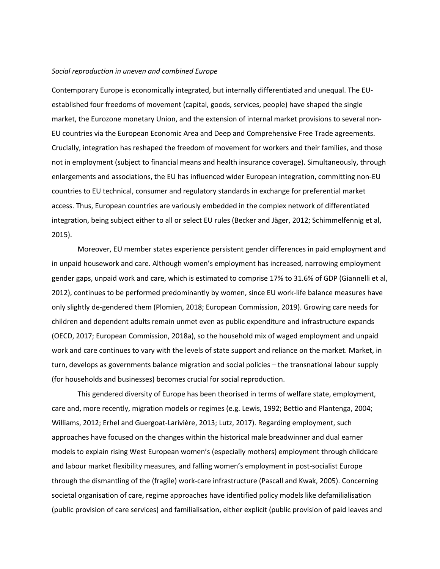## *Social reproduction in uneven and combined Europe*

Contemporary Europe is economically integrated, but internally differentiated and unequal. The EUestablished four freedoms of movement (capital, goods, services, people) have shaped the single market, the Eurozone monetary Union, and the extension of internal market provisions to several non-EU countries via the European Economic Area and Deep and Comprehensive Free Trade agreements. Crucially, integration has reshaped the freedom of movement for workers and their families, and those not in employment (subject to financial means and health insurance coverage). Simultaneously, through enlargements and associations, the EU has influenced wider European integration, committing non-EU countries to EU technical, consumer and regulatory standards in exchange for preferential market access. Thus, European countries are variously embedded in the complex network of differentiated integration, being subject either to all or select EU rules (Becker and Jäger, 2012; Schimmelfennig et al, 2015).

Moreover, EU member states experience persistent gender differences in paid employment and in unpaid housework and care. Although women's employment has increased, narrowing employment gender gaps, unpaid work and care, which is estimated to comprise 17% to 31.6% of GDP (Giannelli et al, 2012), continues to be performed predominantly by women, since EU work-life balance measures have only slightly de-gendered them (Plomien, 2018; European Commission, 2019). Growing care needs for children and dependent adults remain unmet even as public expenditure and infrastructure expands (OECD, 2017; European Commission, 2018a), so the household mix of waged employment and unpaid work and care continues to vary with the levels of state support and reliance on the market. Market, in turn, develops as governments balance migration and social policies – the transnational labour supply (for households and businesses) becomes crucial for social reproduction.

This gendered diversity of Europe has been theorised in terms of welfare state, employment, care and, more recently, migration models or regimes (e.g. Lewis, 1992; Bettio and Plantenga, 2004; Williams, 2012; Erhel and Guergoat-Larivière, 2013; Lutz, 2017). Regarding employment, such approaches have focused on the changes within the historical male breadwinner and dual earner models to explain rising West European women's (especially mothers) employment through childcare and labour market flexibility measures, and falling women's employment in post-socialist Europe through the dismantling of the (fragile) work-care infrastructure (Pascall and Kwak, 2005). Concerning societal organisation of care, regime approaches have identified policy models like defamilialisation (public provision of care services) and familialisation, either explicit (public provision of paid leaves and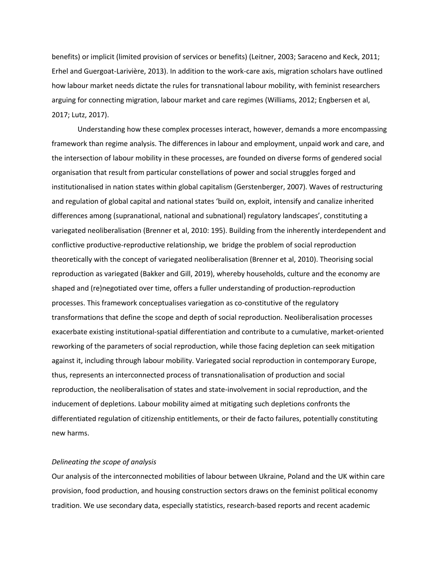benefits) or implicit (limited provision of services or benefits) (Leitner, 2003; Saraceno and Keck, 2011; Erhel and Guergoat-Larivière, 2013). In addition to the work-care axis, migration scholars have outlined how labour market needs dictate the rules for transnational labour mobility, with feminist researchers arguing for connecting migration, labour market and care regimes (Williams, 2012; Engbersen et al, 2017; Lutz, 2017).

Understanding how these complex processes interact, however, demands a more encompassing framework than regime analysis. The differences in labour and employment, unpaid work and care, and the intersection of labour mobility in these processes, are founded on diverse forms of gendered social organisation that result from particular constellations of power and social struggles forged and institutionalised in nation states within global capitalism (Gerstenberger, 2007). Waves of restructuring and regulation of global capital and national states 'build on, exploit, intensify and canalize inherited differences among (supranational, national and subnational) regulatory landscapes', constituting a variegated neoliberalisation (Brenner et al, 2010: 195). Building from the inherently interdependent and conflictive productive-reproductive relationship, we bridge the problem of social reproduction theoretically with the concept of variegated neoliberalisation (Brenner et al, 2010). Theorising social reproduction as variegated (Bakker and Gill, 2019), whereby households, culture and the economy are shaped and (re)negotiated over time, offers a fuller understanding of production-reproduction processes. This framework conceptualises variegation as co-constitutive of the regulatory transformations that define the scope and depth of social reproduction. Neoliberalisation processes exacerbate existing institutional-spatial differentiation and contribute to a cumulative, market-oriented reworking of the parameters of social reproduction, while those facing depletion can seek mitigation against it, including through labour mobility. Variegated social reproduction in contemporary Europe, thus, represents an interconnected process of transnationalisation of production and social reproduction, the neoliberalisation of states and state-involvement in social reproduction, and the inducement of depletions. Labour mobility aimed at mitigating such depletions confronts the differentiated regulation of citizenship entitlements, or their de facto failures, potentially constituting new harms.

## *Delineating the scope of analysis*

Our analysis of the interconnected mobilities of labour between Ukraine, Poland and the UK within care provision, food production, and housing construction sectors draws on the feminist political economy tradition. We use secondary data, especially statistics, research-based reports and recent academic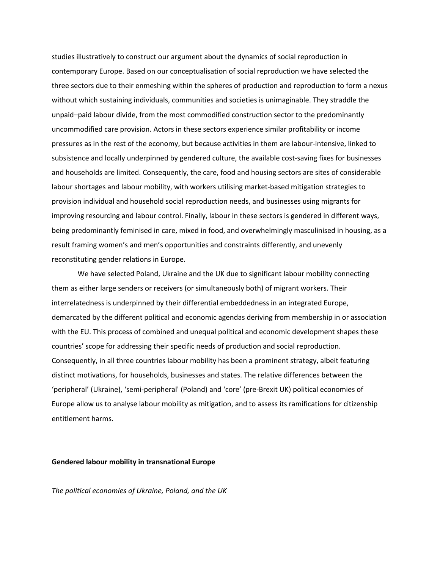studies illustratively to construct our argument about the dynamics of social reproduction in contemporary Europe. Based on our conceptualisation of social reproduction we have selected the three sectors due to their enmeshing within the spheres of production and reproduction to form a nexus without which sustaining individuals, communities and societies is unimaginable. They straddle the unpaid–paid labour divide, from the most commodified construction sector to the predominantly uncommodified care provision. Actors in these sectors experience similar profitability or income pressures as in the rest of the economy, but because activities in them are labour-intensive, linked to subsistence and locally underpinned by gendered culture, the available cost-saving fixes for businesses and households are limited. Consequently, the care, food and housing sectors are sites of considerable labour shortages and labour mobility, with workers utilising market-based mitigation strategies to provision individual and household social reproduction needs, and businesses using migrants for improving resourcing and labour control. Finally, labour in these sectors is gendered in different ways, being predominantly feminised in care, mixed in food, and overwhelmingly masculinised in housing, as a result framing women's and men's opportunities and constraints differently, and unevenly reconstituting gender relations in Europe.

We have selected Poland, Ukraine and the UK due to significant labour mobility connecting them as either large senders or receivers (or simultaneously both) of migrant workers. Their interrelatedness is underpinned by their differential embeddedness in an integrated Europe, demarcated by the different political and economic agendas deriving from membership in or association with the EU. This process of combined and unequal political and economic development shapes these countries' scope for addressing their specific needs of production and social reproduction. Consequently, in all three countries labour mobility has been a prominent strategy, albeit featuring distinct motivations, for households, businesses and states. The relative differences between the 'peripheral' (Ukraine), 'semi-peripheral' (Poland) and 'core' (pre-Brexit UK) political economies of Europe allow us to analyse labour mobility as mitigation, and to assess its ramifications for citizenship entitlement harms.

## **Gendered labour mobility in transnational Europe**

*The political economies of Ukraine, Poland, and the UK*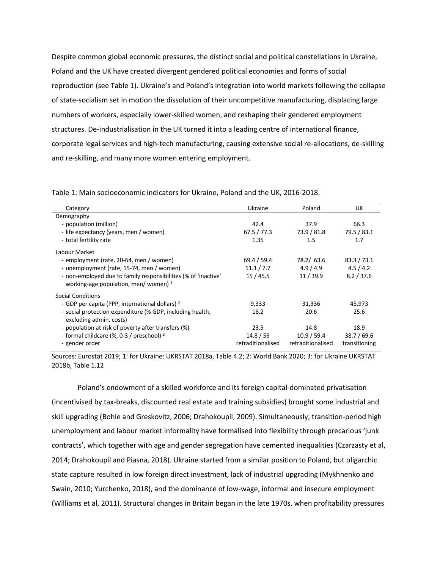Despite common global economic pressures, the distinct social and political constellations in Ukraine, Poland and the UK have created divergent gendered political economies and forms of social reproduction (see Table 1). Ukraine's and Poland's integration into world markets following the collapse of state-socialism set in motion the dissolution of their uncompetitive manufacturing, displacing large numbers of workers, especially lower-skilled women, and reshaping their gendered employment structures. De-industrialisation in the UK turned it into a leading centre of international finance, corporate legal services and high-tech manufacturing, causing extensive social re-allocations, de-skilling and re-skilling, and many more women entering employment.

| Table 1: Main socioeconomic indicators for Ukraine, Poland and the UK, 2016-2018. |  |
|-----------------------------------------------------------------------------------|--|
|-----------------------------------------------------------------------------------|--|

| Category                                                                                                 | Ukraine           | Poland            | UK.           |
|----------------------------------------------------------------------------------------------------------|-------------------|-------------------|---------------|
| Demography                                                                                               |                   |                   |               |
| - population (million)                                                                                   | 42.4              | 37.9              | 66.3          |
| - life expectancy (years, men / women)                                                                   | 67.5 / 77.3       | 73.9 / 81.8       | 79.5 / 83.1   |
| - total fertility rate                                                                                   | 1.35              | 1.5               | 1.7           |
| Labour Market                                                                                            |                   |                   |               |
| - employment (rate, 20-64, men / women)                                                                  | 69.4 / 59.4       | 78.2/ 63.6        | 83.3 / 73.1   |
| - unemployment (rate, 15-74, men / women)                                                                | 11.1 / 7.7        | 4.9/4.9           | 4.5/4.2       |
| - non-employed due to family responsibilities (% of 'inactive'<br>working-age population, men/women) $1$ | 15/45.5           | 11/39.9           | 8.2 / 37.6    |
| <b>Social Conditions</b>                                                                                 |                   |                   |               |
| - GDP per capita (PPP, international dollars) <sup>2</sup>                                               | 9,333             | 31,336            | 45,973        |
| - social protection expenditure (% GDP, including health,<br>excluding admin. costs)                     | 18.2              | 20.6              | 25.6          |
| - population at risk of poverty after transfers (%)                                                      | 23.5              | 14.8              | 18.9          |
| - formal childcare (%, 0-3 / preschool) 3                                                                | 14.8 / 59         | 10.9 / 59.4       | 38.7 / 69.6   |
| - gender order                                                                                           | retraditionalised | retraditionalised | transitioning |

Sources: Eurostat 2019; 1: for Ukraine: UKRSTAT 2018a, Table 4.2; 2: World Bank 2020; 3: for Ukraine UKRSTAT 2018b, Table 1.12

Poland's endowment of a skilled workforce and its foreign capital-dominated privatisation (incentivised by tax-breaks, discounted real estate and training subsidies) brought some industrial and skill upgrading (Bohle and Greskovitz, 2006; Drahokoupil, 2009). Simultaneously, transition-period high unemployment and labour market informality have formalised into flexibility through precarious 'junk contracts', which together with age and gender segregation have cemented inequalities (Czarzasty et al, 2014; Drahokoupil and Piasna, 2018). Ukraine started from a similar position to Poland, but oligarchic state capture resulted in low foreign direct investment, lack of industrial upgrading (Mykhnenko and Swain, 2010; Yurchenko, 2018), and the dominance of low-wage, informal and insecure employment (Williams et al, 2011). Structural changes in Britain began in the late 1970s, when profitability pressures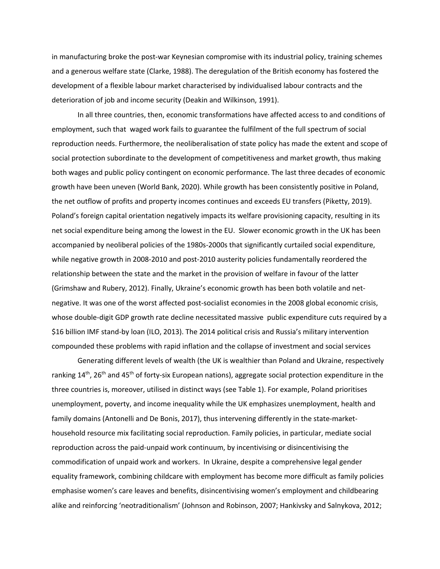in manufacturing broke the post-war Keynesian compromise with its industrial policy, training schemes and a generous welfare state (Clarke, 1988). The deregulation of the British economy has fostered the development of a flexible labour market characterised by individualised labour contracts and the deterioration of job and income security (Deakin and Wilkinson, 1991).

In all three countries, then, economic transformations have affected access to and conditions of employment, such that waged work fails to guarantee the fulfilment of the full spectrum of social reproduction needs. Furthermore, the neoliberalisation of state policy has made the extent and scope of social protection subordinate to the development of competitiveness and market growth, thus making both wages and public policy contingent on economic performance. The last three decades of economic growth have been uneven (World Bank, 2020). While growth has been consistently positive in Poland, the net outflow of profits and property incomes continues and exceeds EU transfers (Piketty, 2019). Poland's foreign capital orientation negatively impacts its welfare provisioning capacity, resulting in its net social expenditure being among the lowest in the EU. Slower economic growth in the UK has been accompanied by neoliberal policies of the 1980s-2000s that significantly curtailed social expenditure, while negative growth in 2008-2010 and post-2010 austerity policies fundamentally reordered the relationship between the state and the market in the provision of welfare in favour of the latter (Grimshaw and Rubery, 2012). Finally, Ukraine's economic growth has been both volatile and netnegative. It was one of the worst affected post-socialist economies in the 2008 global economic crisis, whose double-digit GDP growth rate decline necessitated massive public expenditure cuts required by a \$16 billion IMF stand-by loan (ILO, 2013). The 2014 political crisis and Russia's military intervention compounded these problems with rapid inflation and the collapse of investment and social services

Generating different levels of wealth (the UK is wealthier than Poland and Ukraine, respectively ranking 14<sup>th</sup>, 26<sup>th</sup> and 45<sup>th</sup> of forty-six European nations), aggregate social protection expenditure in the three countries is, moreover, utilised in distinct ways (see Table 1). For example, Poland prioritises unemployment, poverty, and income inequality while the UK emphasizes unemployment, health and family domains (Antonelli and De Bonis, 2017), thus intervening differently in the state-markethousehold resource mix facilitating social reproduction. Family policies, in particular, mediate social reproduction across the paid-unpaid work continuum, by incentivising or disincentivising the commodification of unpaid work and workers. In Ukraine, despite a comprehensive legal gender equality framework, combining childcare with employment has become more difficult as family policies emphasise women's care leaves and benefits, disincentivising women's employment and childbearing alike and reinforcing 'neotraditionalism' (Johnson and Robinson, 2007; Hankivsky and Salnykova, 2012;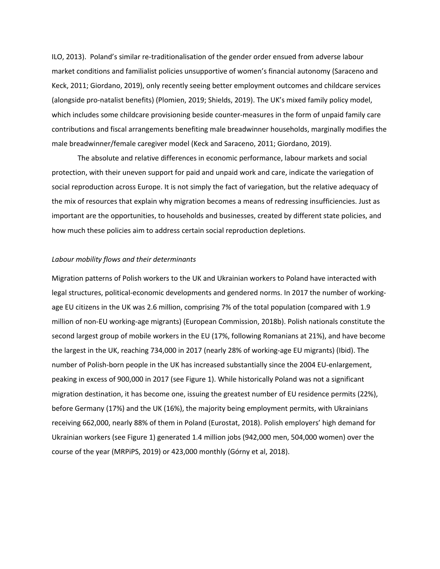ILO, 2013). Poland's similar re-traditionalisation of the gender order ensued from adverse labour market conditions and familialist policies unsupportive of women's financial autonomy (Saraceno and Keck, 2011; Giordano, 2019), only recently seeing better employment outcomes and childcare services (alongside pro-natalist benefits) (Plomien, 2019; Shields, 2019). The UK's mixed family policy model, which includes some childcare provisioning beside counter-measures in the form of unpaid family care contributions and fiscal arrangements benefiting male breadwinner households, marginally modifies the male breadwinner/female caregiver model (Keck and Saraceno, 2011; Giordano, 2019).

The absolute and relative differences in economic performance, labour markets and social protection, with their uneven support for paid and unpaid work and care, indicate the variegation of social reproduction across Europe. It is not simply the fact of variegation, but the relative adequacy of the mix of resources that explain why migration becomes a means of redressing insufficiencies. Just as important are the opportunities, to households and businesses, created by different state policies, and how much these policies aim to address certain social reproduction depletions.

#### *Labour mobility flows and their determinants*

Migration patterns of Polish workers to the UK and Ukrainian workers to Poland have interacted with legal structures, political-economic developments and gendered norms. In 2017 the number of workingage EU citizens in the UK was 2.6 million, comprising 7% of the total population (compared with 1.9 million of non-EU working-age migrants) (European Commission, 2018b). Polish nationals constitute the second largest group of mobile workers in the EU (17%, following Romanians at 21%), and have become the largest in the UK, reaching 734,000 in 2017 (nearly 28% of working-age EU migrants) (Ibid). The number of Polish-born people in the UK has increased substantially since the 2004 EU-enlargement, peaking in excess of 900,000 in 2017 (see Figure 1). While historically Poland was not a significant migration destination, it has become one, issuing the greatest number of EU residence permits (22%), before Germany (17%) and the UK (16%), the majority being employment permits, with Ukrainians receiving 662,000, nearly 88% of them in Poland (Eurostat, 2018). Polish employers' high demand for Ukrainian workers (see Figure 1) generated 1.4 million jobs (942,000 men, 504,000 women) over the course of the year (MRPiPS, 2019) or 423,000 monthly (Górny et al, 2018).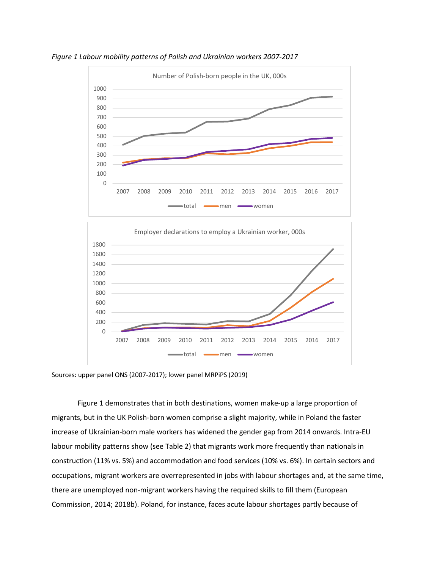



Sources: upper panel ONS (2007-2017); lower panel MRPiPS (2019)

Figure 1 demonstrates that in both destinations, women make-up a large proportion of migrants, but in the UK Polish-born women comprise a slight majority, while in Poland the faster increase of Ukrainian-born male workers has widened the gender gap from 2014 onwards. Intra-EU labour mobility patterns show (see Table 2) that migrants work more frequently than nationals in construction (11% vs. 5%) and accommodation and food services (10% vs. 6%). In certain sectors and occupations, migrant workers are overrepresented in jobs with labour shortages and, at the same time, there are unemployed non-migrant workers having the required skills to fill them (European Commission, 2014; 2018b). Poland, for instance, faces acute labour shortages partly because of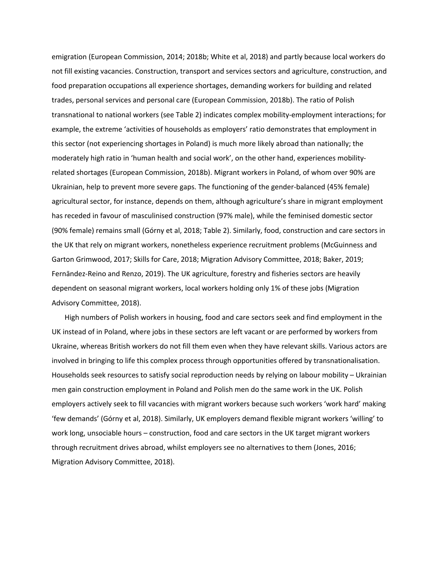emigration (European Commission, 2014; 2018b; White et al, 2018) and partly because local workers do not fill existing vacancies. Construction, transport and services sectors and agriculture, construction, and food preparation occupations all experience shortages, demanding workers for building and related trades, personal services and personal care (European Commission, 2018b). The ratio of Polish transnational to national workers (see Table 2) indicates complex mobility-employment interactions; for example, the extreme 'activities of households as employers' ratio demonstrates that employment in this sector (not experiencing shortages in Poland) is much more likely abroad than nationally; the moderately high ratio in 'human health and social work', on the other hand, experiences mobilityrelated shortages (European Commission, 2018b). Migrant workers in Poland, of whom over 90% are Ukrainian, help to prevent more severe gaps. The functioning of the gender-balanced (45% female) agricultural sector, for instance, depends on them, although agriculture's share in migrant employment has receded in favour of masculinised construction (97% male), while the feminised domestic sector (90% female) remains small (Górny et al, 2018; Table 2). Similarly, food, construction and care sectors in the UK that rely on migrant workers, nonetheless experience recruitment problems (McGuinness and Garton Grimwood, 2017; Skills for Care, 2018; Migration Advisory Committee, 2018; Baker, 2019; Fernāndez-Reino and Renzo, 2019). The UK agriculture, forestry and fisheries sectors are heavily dependent on seasonal migrant workers, local workers holding only 1% of these jobs (Migration Advisory Committee, 2018).

High numbers of Polish workers in housing, food and care sectors seek and find employment in the UK instead of in Poland, where jobs in these sectors are left vacant or are performed by workers from Ukraine, whereas British workers do not fill them even when they have relevant skills. Various actors are involved in bringing to life this complex process through opportunities offered by transnationalisation. Households seek resources to satisfy social reproduction needs by relying on labour mobility – Ukrainian men gain construction employment in Poland and Polish men do the same work in the UK. Polish employers actively seek to fill vacancies with migrant workers because such workers 'work hard' making 'few demands' (Górny et al, 2018). Similarly, UK employers demand flexible migrant workers 'willing' to work long, unsociable hours – construction, food and care sectors in the UK target migrant workers through recruitment drives abroad, whilst employers see no alternatives to them (Jones, 2016; Migration Advisory Committee, 2018).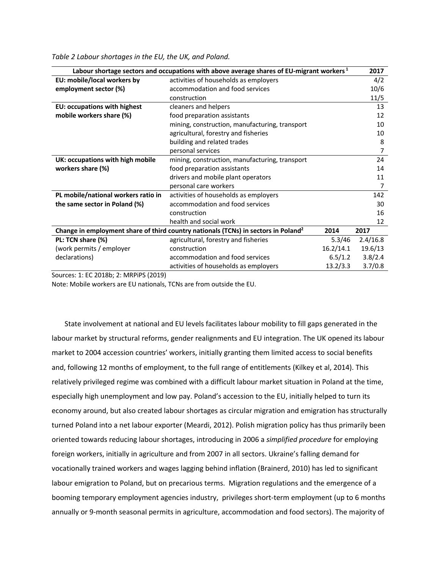| Labour shortage sectors and occupations with above average shares of EU-migrant workers $^1$<br>2017 |                                                |           |          |
|------------------------------------------------------------------------------------------------------|------------------------------------------------|-----------|----------|
| EU: mobile/local workers by                                                                          | activities of households as employers          |           | 4/2      |
| employment sector (%)                                                                                | accommodation and food services                |           | 10/6     |
|                                                                                                      | construction                                   |           | 11/5     |
| <b>EU: occupations with highest</b>                                                                  | cleaners and helpers                           |           | 13       |
| mobile workers share (%)                                                                             | food preparation assistants                    |           | 12       |
|                                                                                                      | mining, construction, manufacturing, transport |           | 10       |
|                                                                                                      | agricultural, forestry and fisheries           |           | 10       |
|                                                                                                      | building and related trades                    |           | 8        |
|                                                                                                      | personal services                              |           | 7        |
| UK: occupations with high mobile                                                                     | mining, construction, manufacturing, transport |           | 24       |
| workers share (%)                                                                                    | food preparation assistants                    |           | 14       |
|                                                                                                      | drivers and mobile plant operators             |           | 11       |
|                                                                                                      | personal care workers                          |           | 7        |
| PL mobile/national workers ratio in                                                                  | activities of households as employers          |           | 142      |
| the same sector in Poland (%)                                                                        | accommodation and food services                |           | 30       |
|                                                                                                      | construction                                   |           | 16       |
|                                                                                                      | health and social work                         |           | 12       |
| Change in employment share of third country nationals (TCNs) in sectors in Poland <sup>2</sup>       |                                                | 2014      | 2017     |
| PL: TCN share (%)                                                                                    | agricultural, forestry and fisheries           | 5.3/46    | 2.4/16.8 |
| (work permits / employer                                                                             | construction                                   | 16.2/14.1 | 19.6/13  |
| declarations)                                                                                        | accommodation and food services                | 6.5/1.2   | 3.8/2.4  |
|                                                                                                      | activities of households as employers          | 13.2/3.3  | 3.7/0.8  |

*Table 2 Labour shortages in the EU, the UK, and Poland.* 

Sources: 1: EC 2018b; 2: MRPiPS (2019)

Note: Mobile workers are EU nationals, TCNs are from outside the EU.

State involvement at national and EU levels facilitates labour mobility to fill gaps generated in the labour market by structural reforms, gender realignments and EU integration. The UK opened its labour market to 2004 accession countries' workers, initially granting them limited access to social benefits and, following 12 months of employment, to the full range of entitlements (Kilkey et al, 2014). This relatively privileged regime was combined with a difficult labour market situation in Poland at the time, especially high unemployment and low pay. Poland's accession to the EU, initially helped to turn its economy around, but also created labour shortages as circular migration and emigration has structurally turned Poland into a net labour exporter (Meardi, 2012). Polish migration policy has thus primarily been oriented towards reducing labour shortages, introducing in 2006 a *simplified procedure* for employing foreign workers, initially in agriculture and from 2007 in all sectors. Ukraine's falling demand for vocationally trained workers and wages lagging behind inflation (Brainerd, 2010) has led to significant labour emigration to Poland, but on precarious terms. Migration regulations and the emergence of a booming temporary employment agencies industry, privileges short-term employment (up to 6 months annually or 9-month seasonal permits in agriculture, accommodation and food sectors). The majority of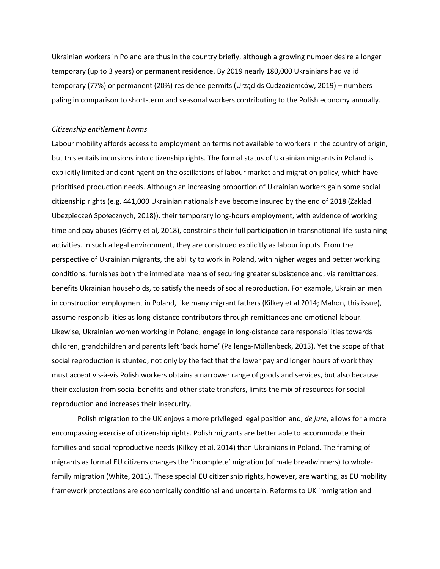Ukrainian workers in Poland are thus in the country briefly, although a growing number desire a longer temporary (up to 3 years) or permanent residence. By 2019 nearly 180,000 Ukrainians had valid temporary (77%) or permanent (20%) residence permits (Urząd ds Cudzoziemców, 2019) – numbers paling in comparison to short-term and seasonal workers contributing to the Polish economy annually.

#### *Citizenship entitlement harms*

Labour mobility affords access to employment on terms not available to workers in the country of origin, but this entails incursions into citizenship rights. The formal status of Ukrainian migrants in Poland is explicitly limited and contingent on the oscillations of labour market and migration policy, which have prioritised production needs. Although an increasing proportion of Ukrainian workers gain some social citizenship rights (e.g. 441,000 Ukrainian nationals have become insured by the end of 2018 (Zakład Ubezpieczeń Społecznych, 2018)), their temporary long-hours employment, with evidence of working time and pay abuses (Górny et al, 2018), constrains their full participation in transnational life-sustaining activities. In such a legal environment, they are construed explicitly as labour inputs. From the perspective of Ukrainian migrants, the ability to work in Poland, with higher wages and better working conditions, furnishes both the immediate means of securing greater subsistence and, via remittances, benefits Ukrainian households, to satisfy the needs of social reproduction. For example, Ukrainian men in construction employment in Poland, like many migrant fathers (Kilkey et al 2014; Mahon, this issue), assume responsibilities as long-distance contributors through remittances and emotional labour. Likewise, Ukrainian women working in Poland, engage in long-distance care responsibilities towards children, grandchildren and parents left 'back home' (Pallenga-Möllenbeck, 2013). Yet the scope of that social reproduction is stunted, not only by the fact that the lower pay and longer hours of work they must accept vis-à-vis Polish workers obtains a narrower range of goods and services, but also because their exclusion from social benefits and other state transfers, limits the mix of resources for social reproduction and increases their insecurity.

Polish migration to the UK enjoys a more privileged legal position and, *de jure*, allows for a more encompassing exercise of citizenship rights. Polish migrants are better able to accommodate their families and social reproductive needs (Kilkey et al, 2014) than Ukrainians in Poland. The framing of migrants as formal EU citizens changes the 'incomplete' migration (of male breadwinners) to wholefamily migration (White, 2011). These special EU citizenship rights, however, are wanting, as EU mobility framework protections are economically conditional and uncertain. Reforms to UK immigration and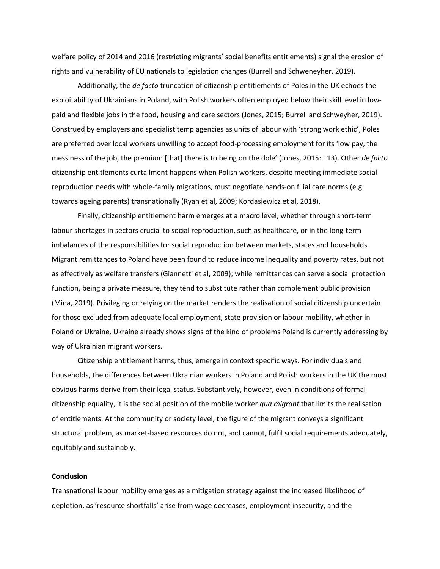welfare policy of 2014 and 2016 (restricting migrants' social benefits entitlements) signal the erosion of rights and vulnerability of EU nationals to legislation changes (Burrell and Schweneyher, 2019).

Additionally, the *de facto* truncation of citizenship entitlements of Poles in the UK echoes the exploitability of Ukrainians in Poland, with Polish workers often employed below their skill level in lowpaid and flexible jobs in the food, housing and care sectors (Jones, 2015; Burrell and Schweyher, 2019). Construed by employers and specialist temp agencies as units of labour with 'strong work ethic', Poles are preferred over local workers unwilling to accept food-processing employment for its 'low pay, the messiness of the job, the premium [that] there is to being on the dole' (Jones, 2015: 113). Other *de facto* citizenship entitlements curtailment happens when Polish workers, despite meeting immediate social reproduction needs with whole-family migrations, must negotiate hands-on filial care norms (e.g. towards ageing parents) transnationally (Ryan et al, 2009; Kordasiewicz et al, 2018).

Finally, citizenship entitlement harm emerges at a macro level, whether through short-term labour shortages in sectors crucial to social reproduction, such as healthcare, or in the long-term imbalances of the responsibilities for social reproduction between markets, states and households. Migrant remittances to Poland have been found to reduce income inequality and poverty rates, but not as effectively as welfare transfers (Giannetti et al, 2009); while remittances can serve a social protection function, being a private measure, they tend to substitute rather than complement public provision (Mina, 2019). Privileging or relying on the market renders the realisation of social citizenship uncertain for those excluded from adequate local employment, state provision or labour mobility, whether in Poland or Ukraine. Ukraine already shows signs of the kind of problems Poland is currently addressing by way of Ukrainian migrant workers.

Citizenship entitlement harms, thus, emerge in context specific ways. For individuals and households, the differences between Ukrainian workers in Poland and Polish workers in the UK the most obvious harms derive from their legal status. Substantively, however, even in conditions of formal citizenship equality, it is the social position of the mobile worker *qua migrant* that limits the realisation of entitlements. At the community or society level, the figure of the migrant conveys a significant structural problem, as market-based resources do not, and cannot, fulfil social requirements adequately, equitably and sustainably.

## **Conclusion**

Transnational labour mobility emerges as a mitigation strategy against the increased likelihood of depletion, as 'resource shortfalls' arise from wage decreases, employment insecurity, and the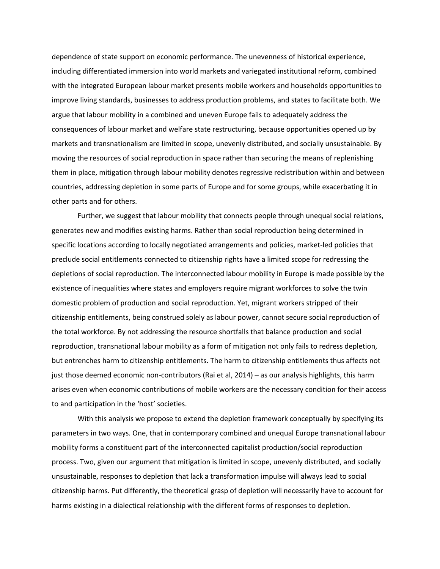dependence of state support on economic performance. The unevenness of historical experience, including differentiated immersion into world markets and variegated institutional reform, combined with the integrated European labour market presents mobile workers and households opportunities to improve living standards, businesses to address production problems, and states to facilitate both. We argue that labour mobility in a combined and uneven Europe fails to adequately address the consequences of labour market and welfare state restructuring, because opportunities opened up by markets and transnationalism are limited in scope, unevenly distributed, and socially unsustainable. By moving the resources of social reproduction in space rather than securing the means of replenishing them in place, mitigation through labour mobility denotes regressive redistribution within and between countries, addressing depletion in some parts of Europe and for some groups, while exacerbating it in other parts and for others.

Further, we suggest that labour mobility that connects people through unequal social relations, generates new and modifies existing harms. Rather than social reproduction being determined in specific locations according to locally negotiated arrangements and policies, market-led policies that preclude social entitlements connected to citizenship rights have a limited scope for redressing the depletions of social reproduction. The interconnected labour mobility in Europe is made possible by the existence of inequalities where states and employers require migrant workforces to solve the twin domestic problem of production and social reproduction. Yet, migrant workers stripped of their citizenship entitlements, being construed solely as labour power, cannot secure social reproduction of the total workforce. By not addressing the resource shortfalls that balance production and social reproduction, transnational labour mobility as a form of mitigation not only fails to redress depletion, but entrenches harm to citizenship entitlements. The harm to citizenship entitlements thus affects not just those deemed economic non-contributors (Rai et al, 2014) – as our analysis highlights, this harm arises even when economic contributions of mobile workers are the necessary condition for their access to and participation in the 'host' societies.

With this analysis we propose to extend the depletion framework conceptually by specifying its parameters in two ways. One, that in contemporary combined and unequal Europe transnational labour mobility forms a constituent part of the interconnected capitalist production/social reproduction process. Two, given our argument that mitigation is limited in scope, unevenly distributed, and socially unsustainable, responses to depletion that lack a transformation impulse will always lead to social citizenship harms. Put differently, the theoretical grasp of depletion will necessarily have to account for harms existing in a dialectical relationship with the different forms of responses to depletion.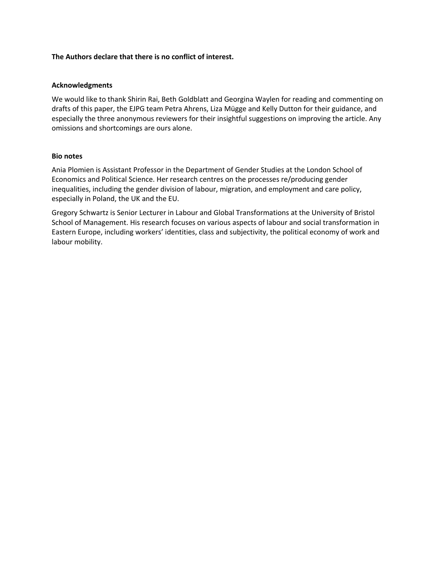# **The Authors declare that there is no conflict of interest.**

## **Acknowledgments**

We would like to thank Shirin Rai, Beth Goldblatt and Georgina Waylen for reading and commenting on drafts of this paper, the EJPG team Petra Ahrens, Liza Mügge and Kelly Dutton for their guidance, and especially the three anonymous reviewers for their insightful suggestions on improving the article. Any omissions and shortcomings are ours alone.

## **Bio notes**

Ania Plomien is Assistant Professor in the Department of Gender Studies at the London School of Economics and Political Science. Her research centres on the processes re/producing gender inequalities, including the gender division of labour, migration, and employment and care policy, especially in Poland, the UK and the EU.

Gregory Schwartz is Senior Lecturer in Labour and Global Transformations at the University of Bristol School of Management. His research focuses on various aspects of labour and social transformation in Eastern Europe, including workers' identities, class and subjectivity, the political economy of work and labour mobility.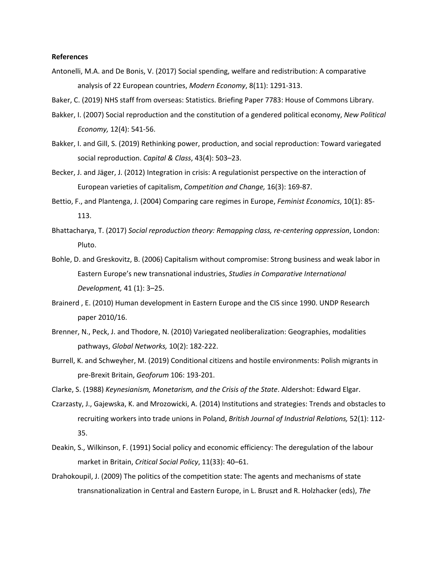## **References**

- Antonelli, M.A. and De Bonis, V. (2017) Social spending, welfare and redistribution: A comparative analysis of 22 European countries, *Modern Economy*, 8(11): 1291-313.
- Baker, C. (2019) NHS staff from overseas: Statistics. Briefing Paper 7783: House of Commons Library.
- Bakker, I. (2007) Social reproduction and the constitution of a gendered political economy, *New Political Economy,* 12(4): 541-56.
- Bakker, I. and Gill, S. (2019) Rethinking power, production, and social reproduction: Toward variegated social reproduction. *Capital & Class*, 43(4): 503–23.
- Becker, J. and Jäger, J. (2012) Integration in crisis: A regulationist perspective on the interaction of European varieties of capitalism, *Competition and Change,* 16(3): 169-87.
- Bettio, F., and Plantenga, J. (2004) Comparing care regimes in Europe, *Feminist Economics*, 10(1): 85- 113.
- Bhattacharya, T. (2017) *Social reproduction theory: Remapping class, re-centering oppression*, London: Pluto.
- Bohle, D. and Greskovitz, B. (2006) Capitalism without compromise: Strong business and weak labor in Eastern Europe's new transnational industries, *Studies in Comparative International Development,* 41 (1): 3–25.
- Brainerd , E. (2010) Human development in Eastern Europe and the CIS since 1990. UNDP Research paper 2010/16.
- Brenner, N., Peck, J. and Thodore, N. (2010) Variegated neoliberalization: Geographies, modalities pathways, *Global Networks,* 10(2): 182-222.
- Burrell, K. and Schweyher, M. (2019) Conditional citizens and hostile environments: Polish migrants in pre-Brexit Britain, *Geoforum* 106: 193-201.
- Clarke, S. (1988) *Keynesianism, Monetarism, and the Crisis of the State*. Aldershot: Edward Elgar.
- Czarzasty, J., Gajewska, K. and Mrozowicki, A. (2014) Institutions and strategies: Trends and obstacles to recruiting workers into trade unions in Poland, *British Journal of Industrial Relations,* 52(1): 112- 35.
- Deakin, S., Wilkinson, F. (1991) Social policy and economic efficiency: The deregulation of the labour market in Britain, *Critical Social Policy*, 11(33): 40–61.
- Drahokoupil, J. (2009) The politics of the competition state: The agents and mechanisms of state transnationalization in Central and Eastern Europe, in L. Bruszt and R. Holzhacker (eds), *The*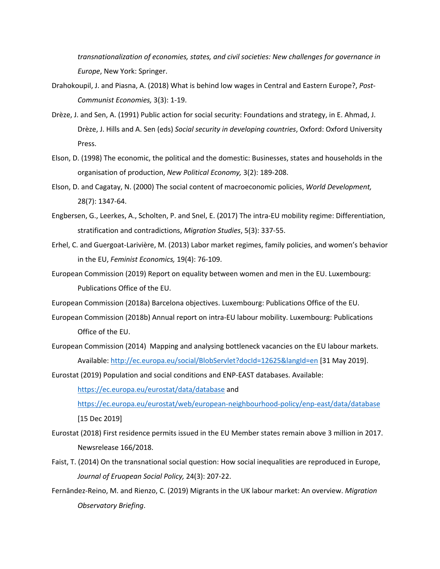*transnationalization of economies, states, and civil societies: New challenges for governance in Europe*, New York: Springer.

- Drahokoupil, J. and Piasna, A. (2018) What is behind low wages in Central and Eastern Europe?, *Post-Communist Economies,* 3(3): 1-19.
- Drèze, J. and Sen, A. (1991) Public action for social security: Foundations and strategy, in E. Ahmad, J. Drèze, J. Hills and A. Sen (eds) *Social security in developing countries*, Oxford: Oxford University Press.
- Elson, D. (1998) The economic, the political and the domestic: Businesses, states and households in the organisation of production, *New Political Economy,* 3(2): 189-208.
- Elson, D. and Cagatay, N. (2000) The social content of macroeconomic policies, *World Development,* 28(7): 1347-64.
- Engbersen, G., Leerkes, A., Scholten, P. and Snel, E. (2017) The intra-EU mobility regime: Differentiation, stratification and contradictions, *Migration Studies*, 5(3): 337-55.
- Erhel, C. and Guergoat-Larivière, M. (2013) Labor market regimes, family policies, and women's behavior in the EU, *Feminist Economics,* 19(4): 76-109.
- European Commission (2019) Report on equality between women and men in the EU. Luxembourg: Publications Office of the EU.
- European Commission (2018a) Barcelona objectives. Luxembourg: Publications Office of the EU.
- European Commission (2018b) Annual report on intra-EU labour mobility. Luxembourg: Publications Office of the EU.
- European Commission (2014) Mapping and analysing bottleneck vacancies on the EU labour markets. Available: http://ec.europa.eu/social/BlobServlet?docId=12625&langId=en [31 May 2019].

Eurostat (2019) Population and social conditions and ENP-EAST databases. Available: https://ec.europa.eu/eurostat/data/database and https://ec.europa.eu/eurostat/web/european-neighbourhood-policy/enp-east/data/database

[15 Dec 2019]

- Eurostat (2018) First residence permits issued in the EU Member states remain above 3 million in 2017. Newsrelease 166/2018.
- Faist, T. (2014) On the transnational social question: How social inequalities are reproduced in Europe, *Journal of Eruopean Social Policy,* 24(3): 207-22.
- Fernāndez-Reino, M. and Rienzo, C. (2019) Migrants in the UK labour market: An overview. *Migration Observatory Briefing*.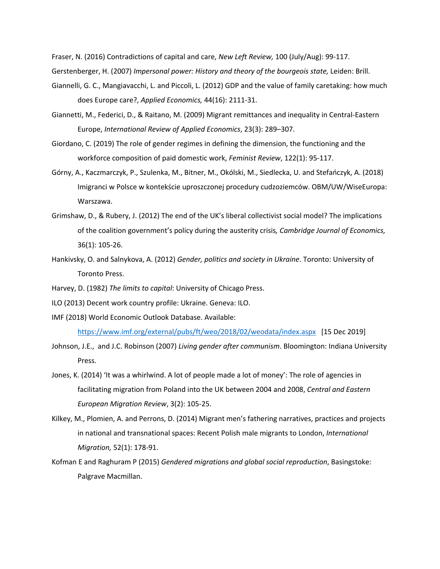Fraser, N. (2016) Contradictions of capital and care, *New Left Review,* 100 (July/Aug): 99-117.

Gerstenberger, H. (2007) *Impersonal power: History and theory of the bourgeois state,* Leiden: Brill.

- Giannelli, G. C., Mangiavacchi, L. and Piccoli, L. (2012) GDP and the value of family caretaking: how much does Europe care?, *Applied Economics,* 44(16): 2111-31.
- Giannetti, M., Federici, D., & Raitano, M. (2009) Migrant remittances and inequality in Central-Eastern Europe, *International Review of Applied Economics*, 23(3): 289–307.
- Giordano, C. (2019) The role of gender regimes in defining the dimension, the functioning and the workforce composition of paid domestic work, *Feminist Review*, 122(1): 95-117.
- Górny, A., Kaczmarczyk, P., Szulenka, M., Bitner, M., Okólski, M., Siedlecka, U. and Stefańczyk, A. (2018) Imigranci w Polsce w kontekście uproszczonej procedury cudzoziemców. OBM/UW/WiseEuropa: Warszawa.
- Grimshaw, D., & Rubery, J. (2012) The end of the UK's liberal collectivist social model? The implications of the coalition government's policy during the austerity crisis*, Cambridge Journal of Economics,* 36(1): 105-26.
- Hankivsky, O. and Salnykova, A. (2012) *Gender, politics and society in Ukraine*. Toronto: University of Toronto Press.
- Harvey, D. (1982) *The limits to capital*: University of Chicago Press.
- ILO (2013) Decent work country profile: Ukraine. Geneva: ILO.
- IMF (2018) World Economic Outlook Database. Available:

https://www.imf.org/external/pubs/ft/weo/2018/02/weodata/index.aspx [15 Dec 2019]

- Johnson, J.E., and J.C. Robinson (2007) *Living gender after communism*. Bloomington: Indiana University Press.
- Jones, K. (2014) 'It was a whirlwind. A lot of people made a lot of money': The role of agencies in facilitating migration from Poland into the UK between 2004 and 2008, *Central and Eastern European Migration Review*, 3(2): 105-25.
- Kilkey, M., Plomien, A. and Perrons, D. (2014) Migrant men's fathering narratives, practices and projects in national and transnational spaces: Recent Polish male migrants to London, *International Migration,* 52(1): 178-91.
- Kofman E and Raghuram P (2015) *Gendered migrations and global social reproduction*, Basingstoke: Palgrave Macmillan.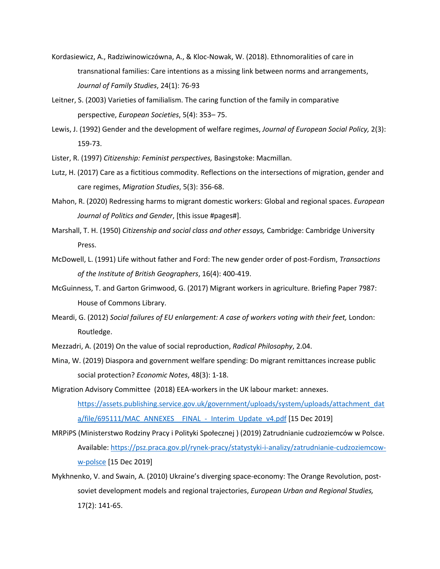- Kordasiewicz, A., Radziwinowiczówna, A., & Kloc-Nowak, W. (2018). Ethnomoralities of care in transnational families: Care intentions as a missing link between norms and arrangements, *Journal of Family Studies*, 24(1): 76-93
- Leitner, S. (2003) Varieties of familialism. The caring function of the family in comparative perspective, *European Societies*, 5(4): 353– 75.
- Lewis, J. (1992) Gender and the development of welfare regimes, *Journal of European Social Policy,* 2(3): 159-73.
- Lister, R. (1997) *Citizenship: Feminist perspectives,* Basingstoke: Macmillan.
- Lutz, H. (2017) Care as a fictitious commodity. Reflections on the intersections of migration, gender and care regimes, *Migration Studies*, 5(3): 356-68.
- Mahon, R. (2020) Redressing harms to migrant domestic workers: Global and regional spaces. *European Journal of Politics and Gender*, [this issue #pages#].
- Marshall, T. H. (1950) *Citizenship and social class and other essays,* Cambridge: Cambridge University Press.
- McDowell, L. (1991) Life without father and Ford: The new gender order of post-Fordism, *Transactions of the Institute of British Geographers*, 16(4): 400-419.
- McGuinness, T. and Garton Grimwood, G. (2017) Migrant workers in agriculture. Briefing Paper 7987: House of Commons Library.
- Meardi, G. (2012) *Social failures of EU enlargement: A case of workers voting with their feet,* London: Routledge.
- Mezzadri, A. (2019) On the value of social reproduction, *Radical Philosophy*, 2.04.
- Mina, W. (2019) Diaspora and government welfare spending: Do migrant remittances increase public social protection? *Economic Notes*, 48(3): 1-18.
- Migration Advisory Committee (2018) EEA-workers in the UK labour market: annexes. https://assets.publishing.service.gov.uk/government/uploads/system/uploads/attachment\_dat a/file/695111/MAC\_ANNEXES FINAL - Interim\_Update\_v4.pdf [15 Dec 2019]
- MRPiPS (Ministerstwo Rodziny Pracy i Polityki Społecznej ) (2019) Zatrudnianie cudzoziemców w Polsce. Available: https://psz.praca.gov.pl/rynek-pracy/statystyki-i-analizy/zatrudnianie-cudzoziemcoww-polsce [15 Dec 2019]
- Mykhnenko, V. and Swain, A. (2010) Ukraine's diverging space-economy: The Orange Revolution, postsoviet development models and regional trajectories, *European Urban and Regional Studies,* 17(2): 141-65.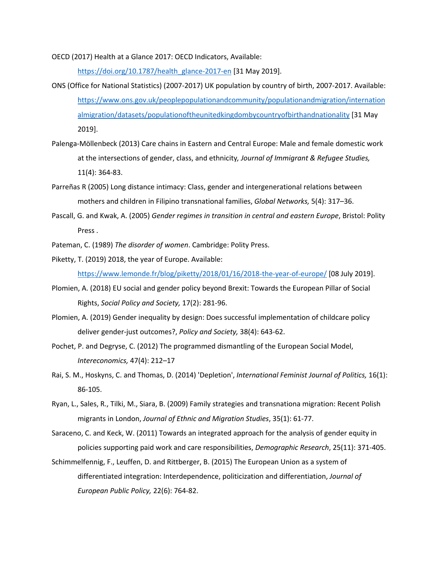OECD (2017) Health at a Glance 2017: OECD Indicators, Available:

https://doi.org/10.1787/health\_glance-2017-en [31 May 2019].

- ONS (Office for National Statistics) (2007-2017) UK population by country of birth, 2007-2017. Available: https://www.ons.gov.uk/peoplepopulationandcommunity/populationandmigration/internation almigration/datasets/populationoftheunitedkingdombycountryofbirthandnationality [31 May 2019].
- Palenga-Möllenbeck (2013) Care chains in Eastern and Central Europe: Male and female domestic work at the intersections of gender, class, and ethnicity*, Journal of Immigrant & Refugee Studies,*  11(4): 364-83.
- Parreñas R (2005) Long distance intimacy: Class, gender and intergenerational relations between mothers and children in Filipino transnational families, *Global Networks,* 5(4): 317–36.
- Pascall, G. and Kwak, A. (2005) *Gender regimes in transition in central and eastern Europe*, Bristol: Polity Press .
- Pateman, C. (1989) *The disorder of women*. Cambridge: Polity Press.
- Piketty, T. (2019) 2018, the year of Europe. Available: https://www.lemonde.fr/blog/piketty/2018/01/16/2018-the-year-of-europe/ [08 July 2019].
- Plomien, A. (2018) EU social and gender policy beyond Brexit: Towards the European Pillar of Social Rights, *Social Policy and Society,* 17(2): 281-96.
- Plomien, A. (2019) Gender inequality by design: Does successful implementation of childcare policy deliver gender-just outcomes?, *Policy and Society,* 38(4): 643-62.
- Pochet, P. and Degryse, C. (2012) The programmed dismantling of the European Social Model, *Intereconomics,* 47(4): 212–17
- Rai, S. M., Hoskyns, C. and Thomas, D. (2014) 'Depletion', *International Feminist Journal of Politics,* 16(1): 86-105.
- Ryan, L., Sales, R., Tilki, M., Siara, B. (2009) Family strategies and transnationa migration: Recent Polish migrants in London, *Journal of Ethnic and Migration Studies*, 35(1): 61-77.
- Saraceno, C. and Keck, W. (2011) Towards an integrated approach for the analysis of gender equity in policies supporting paid work and care responsibilities, *Demographic Research*, 25(11): 371-405.
- Schimmelfennig, F., Leuffen, D. and Rittberger, B. (2015) The European Union as a system of differentiated integration: Interdependence, politicization and differentiation, *Journal of European Public Policy,* 22(6): 764-82.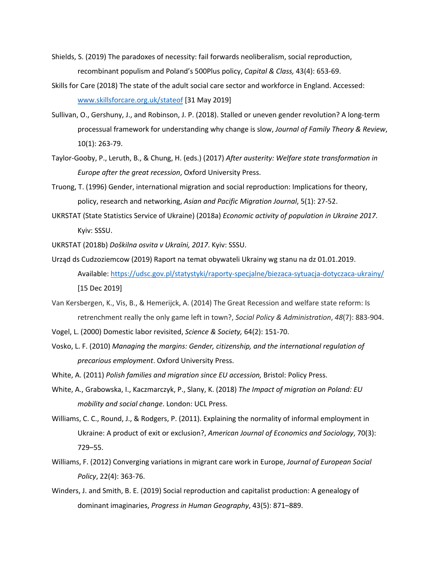- Shields, S. (2019) The paradoxes of necessity: fail forwards neoliberalism, social reproduction, recombinant populism and Poland's 500Plus policy, *Capital & Class,* 43(4): 653-69.
- Skills for Care (2018) The state of the adult social care sector and workforce in England. Accessed: www.skillsforcare.org.uk/stateof [31 May 2019]
- Sullivan, O., Gershuny, J., and Robinson, J. P. (2018). Stalled or uneven gender revolution? A long-term processual framework for understanding why change is slow, *Journal of Family Theory & Review*, 10(1): 263-79.
- Taylor-Gooby, P., Leruth, B., & Chung, H. (eds.) (2017) *After austerity: Welfare state transformation in Europe after the great recession*, Oxford University Press.
- Truong, T. (1996) Gender, international migration and social reproduction: Implications for theory, policy, research and networking, *Asian and Pacific Migration Journal*, 5(1): 27-52.
- UKRSTAT (State Statistics Service of Ukraine) (2018a) *Economic activity of population in Ukraine 2017*. Kyiv: SSSU.
- UKRSTAT (2018b) *Doškilna osvita v Ukraïni, 2017*. Kyiv: SSSU.
- Urząd ds Cudzoziemcow (2019) Raport na temat obywateli Ukrainy wg stanu na dz 01.01.2019. Available: https://udsc.gov.pl/statystyki/raporty-specjalne/biezaca-sytuacja-dotyczaca-ukrainy/ [15 Dec 2019]
- Van Kersbergen, K., Vis, B., & Hemerijck, A. (2014) The Great Recession and welfare state reform: Is retrenchment really the only game left in town?, *Social Policy & Administration*, *48*(7): 883-904.
- Vogel, L. (2000) Domestic labor revisited, *Science & Society,* 64(2): 151-70.
- Vosko, L. F. (2010) *Managing the margins: Gender, citizenship, and the international regulation of precarious employment*. Oxford University Press.
- White, A. (2011) *Polish families and migration since EU accession,* Bristol: Policy Press.
- White, A., Grabowska, I., Kaczmarczyk, P., Slany, K. (2018) *The Impact of migration on Poland: EU mobility and social change*. London: UCL Press.
- Williams, C. C., Round, J., & Rodgers, P. (2011). Explaining the normality of informal employment in Ukraine: A product of exit or exclusion?, *American Journal of Economics and Sociology*, 70(3): 729–55.
- Williams, F. (2012) Converging variations in migrant care work in Europe, *Journal of European Social Policy*, 22(4): 363-76.
- Winders, J. and Smith, B. E. (2019) Social reproduction and capitalist production: A genealogy of dominant imaginaries, *Progress in Human Geography*, 43(5): 871–889.